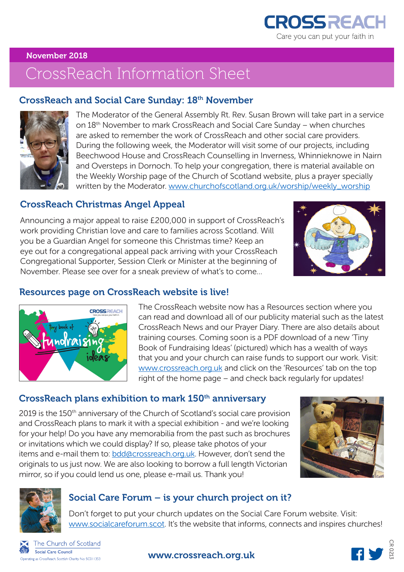

#### November 2018

# CrossReach Information Sheet

#### CrossReach and Social Care Sunday: 18th November



The Moderator of the General Assembly Rt. Rev. Susan Brown will take part in a service on 18th November to mark CrossReach and Social Care Sunday – when churches are asked to remember the work of CrossReach and other social care providers. During the following week, the Moderator will visit some of our projects, including Beechwood House and CrossReach Counselling in Inverness, Whinnieknowe in Nairn and Oversteps in Dornoch. To help your congregation, there is material available on the Weekly Worship page of the Church of Scotland website, plus a prayer specially written by the Moderator. www.churchofscotland.org.uk/worship/weekly\_worship

## CrossReach Christmas Angel Appeal

Announcing a major appeal to raise £200,000 in support of CrossReach's work providing Christian love and care to families across Scotland. Will you be a Guardian Angel for someone this Christmas time? Keep an eye out for a congregational appeal pack arriving with your CrossReach Congregational Supporter, Session Clerk or Minister at the beginning of November. Please see over for a sneak preview of what's to come…



## Resources page on CrossReach website is live!

CROSSPEACH

ideas

Inolraisi

The CrossReach website now has a Resources section where you can read and download all of our publicity material such as the latest CrossReach News and our Prayer Diary. There are also details about training courses. Coming soon is a PDF download of a new 'Tiny Book of Fundraising Ideas' (pictured) which has a wealth of ways that you and your church can raise funds to support our work. Visit: www.crossreach.org.uk and click on the 'Resources' tab on the top right of the home page – and check back regularly for updates!

#### CrossReach plans exhibition to mark 150<sup>th</sup> anniversary

2019 is the 150<sup>th</sup> anniversary of the Church of Scotland's social care provision and CrossReach plans to mark it with a special exhibition - and we're looking for your help! Do you have any memorabilia from the past such as brochures or invitations which we could display? If so, please take photos of your items and e-mail them to: **bdd@crossreach.org.uk**. However, don't send the originals to us just now. We are also looking to borrow a full length Victorian mirror, so if you could lend us one, please e-mail us. Thank you!





## Social Care Forum – is your church project on it?

Don't forget to put your church updates on the Social Care Forum website. Visit: www.socialcareforum.scot. It's the website that informs, connects and inspires churches!



#### www.crossreach.org.uk